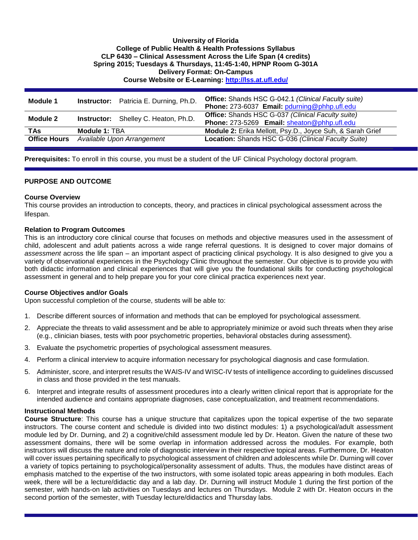## **University of Florida College of Public Health & Health Professions Syllabus CLP 6430 – Clinical Assessment Across the Life Span (4 credits) Spring 2015; Tuesdays & Thursdays, 11:45-1:40, HPNP Room G-301A Delivery Format: On-Campus Course Website or E-Learning:<http://lss.at.ufl.edu/>**

| Module 1            |                            | <b>Instructor:</b> Patricia E. Durning, Ph.D. | <b>Office:</b> Shands HSC G-042.1 (Clinical Faculty suite)<br>Phone: 273-6037 Email: pdurning@phhp.ufl.edu |
|---------------------|----------------------------|-----------------------------------------------|------------------------------------------------------------------------------------------------------------|
| Module 2            |                            | <b>Instructor:</b> Shelley C. Heaton, Ph.D.   | <b>Office:</b> Shands HSC G-037 (Clinical Faculty suite)<br>Phone: 273-5269 Email: sheaton@phhp.ufl.edu    |
| <b>TAs</b>          | Module 1: TBA              |                                               | Module 2: Erika Mellott, Psy.D., Joyce Suh, & Sarah Grief                                                  |
| <b>Office Hours</b> | Available Upon Arrangement |                                               | Location: Shands HSC G-036 (Clinical Faculty Suite)                                                        |

**Prerequisites:** To enroll in this course, you must be a student of the UF Clinical Psychology doctoral program.

### **PURPOSE AND OUTCOME**

### **Course Overview**

This course provides an introduction to concepts, theory, and practices in clinical psychological assessment across the lifespan.

### **Relation to Program Outcomes**

This is an introductory core clinical course that focuses on methods and objective measures used in the assessment of child, adolescent and adult patients across a wide range referral questions. It is designed to cover major domains of *assessment* across the life span – an important aspect of practicing clinical psychology. It is also designed to give you a variety of observational experiences in the Psychology Clinic throughout the semester. Our objective is to provide you with both didactic information and clinical experiences that will give you the foundational skills for conducting psychological assessment in general and to help prepare you for your core clinical practica experiences next year.

### **Course Objectives and/or Goals**

Upon successful completion of the course, students will be able to:

- 1. Describe different sources of information and methods that can be employed for psychological assessment.
- 2. Appreciate the threats to valid assessment and be able to appropriately minimize or avoid such threats when they arise (e.g., clinician biases, tests with poor psychometric properties, behavioral obstacles during assessment).
- 3. Evaluate the psychometric properties of psychological assessment measures.
- 4. Perform a clinical interview to acquire information necessary for psychological diagnosis and case formulation.
- 5. Administer, score, and interpret results the WAIS-IV and WISC-IV tests of intelligence according to guidelines discussed in class and those provided in the test manuals.
- 6. Interpret and integrate results of assessment procedures into a clearly written clinical report that is appropriate for the intended audience and contains appropriate diagnoses, case conceptualization, and treatment recommendations.

### **Instructional Methods**

**Course Structure**: This course has a unique structure that capitalizes upon the topical expertise of the two separate instructors. The course content and schedule is divided into two distinct modules: 1) a psychological/adult assessment module led by Dr. Durning, and 2) a cognitive/child assessment module led by Dr. Heaton. Given the nature of these two assessment domains, there will be some overlap in information addressed across the modules. For example, both instructors will discuss the nature and role of diagnostic interview in their respective topical areas. Furthermore, Dr. Heaton will cover issues pertaining specifically to psychological assessment of children and adolescents while Dr. Durning will cover a variety of topics pertaining to psychological/personality assessment of adults. Thus, the modules have distinct areas of emphasis matched to the expertise of the two instructors, with some isolated topic areas appearing in both modules. Each week, there will be a lecture/didactic day and a lab day. Dr. Durning will instruct Module 1 during the first portion of the semester, with hands-on lab activities on Tuesdays and lectures on Thursdays. Module 2 with Dr. Heaton occurs in the second portion of the semester, with Tuesday lecture/didactics and Thursday labs.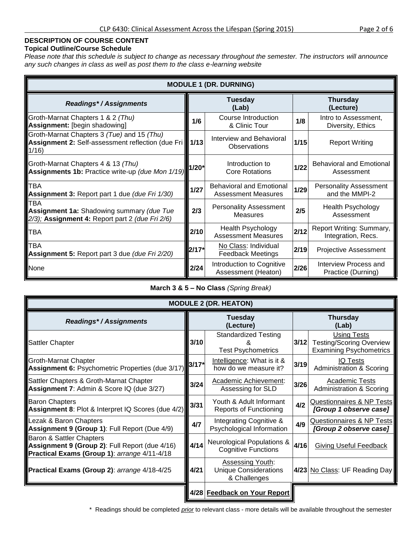# **Topical Outline/Course Schedule**

*Please note that this schedule is subject to change as necessary throughout the semester. The instructors will announce any such changes in class as well as post them to the class e-learning website*

| <b>MODULE 1 (DR. DURNING)</b>                                                                              |         |                                                               |      |                                                 |  |  |  |  |  |  |  |
|------------------------------------------------------------------------------------------------------------|---------|---------------------------------------------------------------|------|-------------------------------------------------|--|--|--|--|--|--|--|
| Readings*/Assignments                                                                                      |         | <b>Tuesday</b><br>(Lab)                                       |      | <b>Thursday</b><br>(Lecture)                    |  |  |  |  |  |  |  |
| Groth-Marnat Chapters 1 & 2 (Thu)<br>Assignment: [begin shadowing]                                         | 1/6     | Course Introduction<br>& Clinic Tour                          | 1/8  | Intro to Assessment,<br>Diversity, Ethics       |  |  |  |  |  |  |  |
| Groth-Marnat Chapters 3 (Tue) and 15 (Thu)<br>Assignment 2: Self-assessment reflection (due Fri)<br>1/16   | 1/13    | Interview and Behavioral<br>Observations                      | 1/15 | <b>Report Writing</b>                           |  |  |  |  |  |  |  |
| Groth-Marnat Chapters 4 & 13 (Thu)<br>Assignments 1b: Practice write-up (due Mon 1/19)                     | 1/20*   | Introduction to<br><b>Core Rotations</b>                      |      | <b>Behavioral and Emotional</b><br>Assessment   |  |  |  |  |  |  |  |
| <b>TBA</b><br>Assignment 3: Report part 1 due (due Fri 1/30)                                               | $1/27$  | <b>Behavioral and Emotional</b><br><b>Assessment Measures</b> | 1/29 | <b>Personality Assessment</b><br>and the MMPI-2 |  |  |  |  |  |  |  |
| <b>TBA</b><br>Assignment 1a: Shadowing summary (due Tue<br>2/3); Assignment 4: Report part 2 (due Fri 2/6) | 2/3     | <b>Personality Assessment</b><br><b>Measures</b>              | 2/5  | <b>Health Psychology</b><br>Assessment          |  |  |  |  |  |  |  |
| <b>TBA</b>                                                                                                 |         | <b>Health Psychology</b><br><b>Assessment Measures</b>        | 2/12 | Report Writing: Summary,<br>Integration, Recs.  |  |  |  |  |  |  |  |
| TBA<br><b>Assignment 5:</b> Report part 3 due (due Fri 2/20)                                               | $2/17*$ | No Class: Individual<br><b>Feedback Meetings</b>              | 2/19 | <b>Projective Assessment</b>                    |  |  |  |  |  |  |  |
| <b>None</b>                                                                                                | 2/24    | Introduction to Cognitive<br>Assessment (Heaton)              | 2/26 | Interview Process and<br>Practice (Durning)     |  |  |  |  |  |  |  |

# **March 3 & 5 – No Class** *(Spring Break)*

| <b>MODULE 2 (DR. HEATON)</b>                                                                                               |         |                                                                         |                          |                                                                                         |  |  |  |  |  |  |  |  |
|----------------------------------------------------------------------------------------------------------------------------|---------|-------------------------------------------------------------------------|--------------------------|-----------------------------------------------------------------------------------------|--|--|--|--|--|--|--|--|
| <b>Readings*/Assignments</b>                                                                                               |         | Tuesday<br>(Lecture)                                                    | <b>Thursday</b><br>(Lab) |                                                                                         |  |  |  |  |  |  |  |  |
| <b>Sattler Chapter</b>                                                                                                     | 3/10    | <b>Standardized Testing</b><br><b>Test Psychometrics</b>                | $3/12$                   | <b>Using Tests</b><br><b>Testing/Scoring Overview</b><br><b>Examining Psychometrics</b> |  |  |  |  |  |  |  |  |
| <b>Groth-Marnat Chapter</b><br>Assignment 6: Psychometric Properties (due 3/17)                                            | $3/17*$ | Intelligence: What is it &<br>how do we measure it?                     | 3/19                     | IQ Tests<br><b>Administration &amp; Scoring</b>                                         |  |  |  |  |  |  |  |  |
| Sattler Chapters & Groth-Marnat Chapter<br>Assignment 7: Admin & Score IQ (due 3/27)                                       | 3/24    | Academic Achievement:<br>Assessing for SLD                              | 3/26                     | Academic Tests<br><b>Administration &amp; Scoring</b>                                   |  |  |  |  |  |  |  |  |
| <b>Baron Chapters</b><br>Assignment 8: Plot & Interpret IQ Scores (due 4/2)                                                | 3/31    | Youth & Adult Informant<br><b>Reports of Functioning</b>                | 4/2                      | Questionnaires & NP Tests<br>[Group 1 observe case]                                     |  |  |  |  |  |  |  |  |
| Lezak & Baron Chapters<br>Assignment 9 (Group 1): Full Report (Due 4/9)                                                    | 4/7     | Integrating Cognitive &<br>Psychological Information                    | 4/9                      | Questionnaires & NP Tests<br>[Group 2 observe case]                                     |  |  |  |  |  |  |  |  |
| Baron & Sattler Chapters<br>Assignment 9 (Group 2): Full Report (due 4/16)<br>Practical Exams (Group 1): arrange 4/11-4/18 | 4/14    | <b>Neurological Populations &amp;</b><br><b>Cognitive Functions</b>     | 4/16                     | Giving Useful Feedback                                                                  |  |  |  |  |  |  |  |  |
| Practical Exams (Group 2): arrange 4/18-4/25                                                                               | 4/21    | <b>Assessing Youth:</b><br><b>Unique Considerations</b><br>& Challenges |                          | 4/23 No Class: UF Reading Day                                                           |  |  |  |  |  |  |  |  |
|                                                                                                                            |         | 4/28 Feedback on Your Report                                            |                          |                                                                                         |  |  |  |  |  |  |  |  |

\* Readings should be completed *prior* to relevant class - more details will be available throughout the semester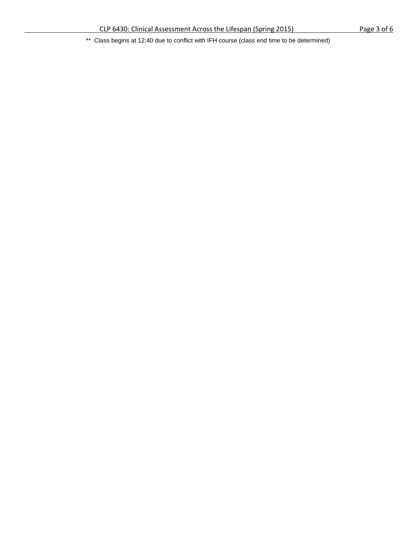\*\* Class begins at 12:40 due to conflict with IFH course (class end time to be determined)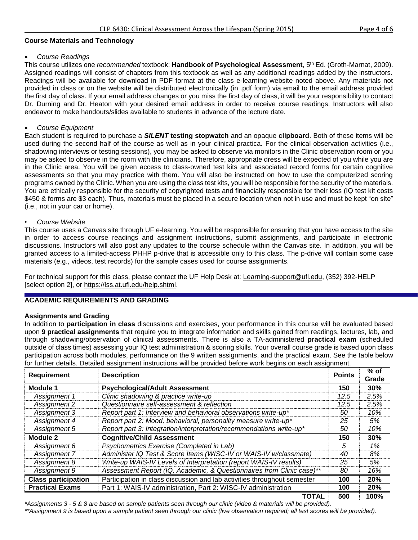## **Course Materials and Technology**

## *Course Readings*

This course utilizes one *recommended* textbook: **Handbook of Psychological Assessment**, 5th Ed. (Groth-Marnat, 2009). Assigned readings will consist of chapters from this textbook as well as any additional readings added by the instructors. Readings will be available for download in PDF format at the class e-learning website noted above. Any materials not provided in class or on the website will be distributed electronically (in .pdf form) via email to the email address provided the first day of class. If your email address changes or you miss the first day of class, it will be your responsibility to contact Dr. Durning and Dr. Heaton with your desired email address in order to receive course readings. Instructors will also endeavor to make handouts/slides available to students in advance of the lecture date.

## *Course Equipment*

Each student is required to purchase a *SILENT* **testing stopwatch** and an opaque **clipboard**. Both of these items will be used during the second half of the course as well as in your clinical practica. For the clinical observation activities (i.e., shadowing interviews or testing sessions), you may be asked to observe via monitors in the Clinic observation room or you may be asked to observe in the room with the clinicians. Therefore, appropriate dress will be expected of you while you are in the Clinic area. You will be given access to class-owned test kits and associated record forms for certain cognitive assessments so that you may practice with them. You will also be instructed on how to use the computerized scoring programs owned by the Clinic. When you are using the class test kits, you will be responsible for the security of the materials. You are ethically responsible for the security of copyrighted tests and financially responsible for their loss (IQ test kit costs \$450 & forms are \$3 each). Thus, materials must be placed in a secure location when not in use and must be kept "on site" (i.e., not in your car or home).

### • *Course Website*

This course uses a Canvas site through UF e-learning. You will be responsible for ensuring that you have access to the site in order to access course readings and assignment instructions, submit assignments, and participate in electronic discussions. Instructors will also post any updates to the course schedule within the Canvas site. In addition, you will be granted access to a limited-access PHHP p-drive that is accessible only to this class. The p-drive will contain some case materials (e.g., videos, test records) for the sample cases used for course assignments.

For technical support for this class, please contact the UF Help Desk at: [Learning-support@ufl.edu,](file:///C:/Users/hackg/Desktop/Learning-support@ufl.edu) (352) 392-HELP [select option 2], or [https://lss.at.ufl.edu/help.shtml.](https://lss.at.ufl.edu/help.shtml)

# **ACADEMIC REQUIREMENTS AND GRADING**

## **Assignments and Grading**

In addition to **participation in class** discussions and exercises, your performance in this course will be evaluated based upon **9 practical assignments** that require you to integrate information and skills gained from readings, lectures, lab, and through shadowing/observation of clinical assessments. There is also a TA-administered **practical exam** (scheduled outside of class times) assessing your IQ test administration & scoring skills. Your overall course grade is based upon class participation across both modules, performance on the 9 written assignments, and the practical exam. See the table below for further details. Detailed assignment instructions will be provided before work begins on each assignment.

| Requirement                                                                                            | <b>Description</b>                                                    | <b>Points</b> | $%$ of |
|--------------------------------------------------------------------------------------------------------|-----------------------------------------------------------------------|---------------|--------|
|                                                                                                        |                                                                       |               | Grade  |
| Module 1                                                                                               | <b>Psychological/Adult Assessment</b>                                 | 150           | 30%    |
| Assignment 1                                                                                           | Clinic shadowing & practice write-up                                  | 12.5          | 2.5%   |
| Assignment 2                                                                                           | Questionnaire self-assessment & reflection                            | 12.5          | 2.5%   |
| Assignment 3                                                                                           | Report part 1: Interview and behavioral observations write-up*        | 50            | 10%    |
| Assignment 4                                                                                           | Report part 2: Mood, behavioral, personality measure write-up*        | 25            | 5%     |
| Assignment 5                                                                                           | Report part 3: Integration/interpretation/recommendations write-up*   | 50            | 10%    |
| Module 2                                                                                               | <b>Cognitive/Child Assessment</b>                                     | 150           | 30%    |
| Assignment 6                                                                                           | Psychometrics Exercise (Completed in Lab)                             | 5             | 1%     |
| Assignment 7                                                                                           | Administer IQ Test & Score Items (WISC-IV or WAIS-IV w/classmate)     | 40            | 8%     |
| Assignment 8                                                                                           | Write-up WAIS-IV Levels of Interpretation (report WAIS-IV results)    | 25            | 5%     |
| Assignment 9                                                                                           | Assessment Report (IQ, Academic, & Questionnaires from Clinic case)** | 80            | 16%    |
| Participation in class discussion and lab activities throughout semester<br><b>Class participation</b> |                                                                       | 100           | 20%    |
| <b>Practical Exams</b>                                                                                 | Part 1: WAIS-IV administration, Part 2: WISC-IV administration        | 100           | 20%    |
|                                                                                                        | <b>TOTAL</b>                                                          | 500           | 100%   |

*\*Assignments 3 - 5 & 8 are based on sample patients seen through our clinic (video & materials will be provided).* 

*\*\*Assignment 9 is based upon a sample patient seen through our clinic (live observation required; all test scores will be provided).*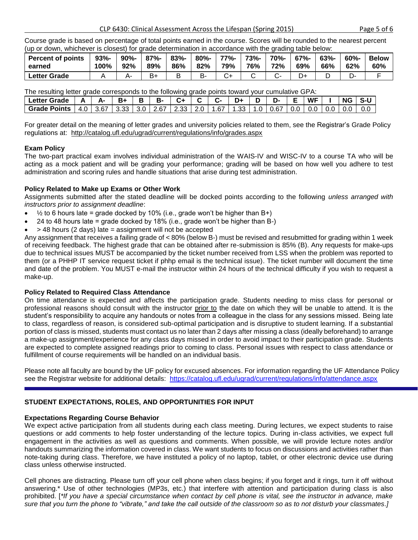Course grade is based on percentage of total points earned in the course. Scores will be rounded to the nearest percent (up or down, whichever is closest) for grade determination in accordance with the grading table below:

| <b>Percent of points</b> | $93% -$ | $90% -$ | $87% -$ | $83% -$ | $80% -$ | 77%- | 73%- | 70%- | $67% -$ | $63% -$ | $60% -$ | <b>Below</b> |
|--------------------------|---------|---------|---------|---------|---------|------|------|------|---------|---------|---------|--------------|
| earned                   | 100%    | 92%     | 89%     | 86%     | 82%     | 79%  | 76%  | 72%  | 69%     | 66%     | 62%     | 60%          |
| Letter Grade             |         |         |         |         | в.      |      |      |      |         |         |         |              |

The resulting letter grade corresponds to the following grade points toward your cumulative GPA:

| <b>Letter Grade</b>   |     |      | в.                             | в- |  |      | D+   |     | D-   |         | WF  | <b>NG</b> |  |
|-----------------------|-----|------|--------------------------------|----|--|------|------|-----|------|---------|-----|-----------|--|
| <b>Grade Points  </b> | 4.0 | 3.67 | 3.33   3.0   2.67   2.33   2.0 |    |  | 1.67 | 1.33 | 1.0 | 0.67 | $0.0\,$ | 0.0 | 0.0       |  |

For greater detail on the meaning of letter grades and university policies related to them, see the Registrar's Grade Policy regulations at: <http://catalog.ufl.edu/ugrad/current/regulations/info/grades.aspx>

# **Exam Policy**

The two-part practical exam involves individual administration of the WAIS-IV and WISC-IV to a course TA who will be acting as a mock patient and will be grading your performance; grading will be based on how well you adhere to test administration and scoring rules and handle situations that arise during test administration.

# **Policy Related to Make up Exams or Other Work**

Assignments submitted after the stated deadline will be docked points according to the following *unless arranged with instructors prior to assignment deadline*:

- $\bullet$   $\frac{1}{2}$  to 6 hours late = grade docked by 10% (i.e., grade won't be higher than B+)
- 24 to 48 hours late = grade docked by 18% (i.e., grade won't be higher than B-)
- > 48 hours (2 days) late = assignment will not be accepted

Any assignment that receives a failing grade of < 80% (below B-) must be revised and resubmitted for grading within 1 week of receiving feedback. The highest grade that can be obtained after re-submission is 85% (B). Any requests for make-ups due to technical issues MUST be accompanied by the ticket number received from LSS when the problem was reported to them (or a PHHP IT service request ticket if phhp email is the technical issue). The ticket number will document the time and date of the problem. You MUST e-mail the instructor within 24 hours of the technical difficulty if you wish to request a make-up.

# **Policy Related to Required Class Attendance**

On time attendance is expected and affects the participation grade. Students needing to miss class for personal or professional reasons should consult with the instructor prior to the date on which they will be unable to attend. It is the student's responsibility to acquire any handouts or notes from a colleague in the class for any sessions missed. Being late to class, regardless of reason, is considered sub-optimal participation and is disruptive to student learning. If a substantial portion of class is missed, students must contact us no later than 2 days after missing a class (ideally beforehand) to arrange a make-up assignment/experience for any class days missed in order to avoid impact to their participation grade. Students are expected to complete assigned readings prior to coming to class. Personal issues with respect to class attendance or fulfillment of course requirements will be handled on an individual basis.

Please note all faculty are bound by the UF policy for excused absences. For information regarding the UF Attendance Policy see the Registrar website for additional details: <https://catalog.ufl.edu/ugrad/current/regulations/info/attendance.aspx>

# **STUDENT EXPECTATIONS, ROLES, AND OPPORTUNITIES FOR INPUT**

# **Expectations Regarding Course Behavior**

We expect active participation from all students during each class meeting. During lectures, we expect students to raise questions or add comments to help foster understanding of the lecture topics. During in-class activities, we expect full engagement in the activities as well as questions and comments. When possible, we will provide lecture notes and/or handouts summarizing the information covered in class. We want students to focus on discussions and activities rather than note-taking during class. Therefore, we have instituted a policy of no laptop, tablet, or other electronic device use during class unless otherwise instructed.

Cell phones are distracting. Please turn off your cell phone when class begins; if you forget and it rings, turn it off without answering.\* Use of other technologies (MP3s, etc.) that interfere with attention and participation during class is also prohibited. [*\*If you have a special circumstance when contact by cell phone is vital, see the instructor in advance, make sure that you turn the phone to "vibrate," and take the call outside of the classroom so as to not disturb your classmates.]*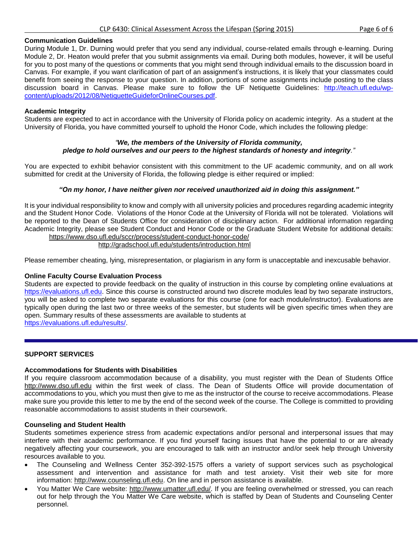### **Communication Guidelines**

During Module 1, Dr. Durning would prefer that you send any individual, course-related emails through e-learning. During Module 2, Dr. Heaton would prefer that you submit assignments via email. During both modules, however, it will be useful for you to post many of the questions or comments that you might send through individual emails to the discussion board in Canvas. For example, if you want clarification of part of an assignment's instructions, it is likely that your classmates could benefit from seeing the response to your question. In addition, portions of some assignments include posting to the class discussion board in Canvas. Please make sure to follow the UF Netiquette Guidelines: [http://teach.ufl.edu/wp](http://teach.ufl.edu/wp-content/uploads/2012/08/NetiquetteGuideforOnlineCourses.pdf)[content/uploads/2012/08/NetiquetteGuideforOnlineCourses.pdf.](http://teach.ufl.edu/wp-content/uploads/2012/08/NetiquetteGuideforOnlineCourses.pdf)

### **Academic Integrity**

Students are expected to act in accordance with the University of Florida policy on academic integrity. As a student at the University of Florida, you have committed yourself to uphold the Honor Code, which includes the following pledge:

## *"We, the members of the University of Florida community, pledge to hold ourselves and our peers to the highest standards of honesty and integrity."*

You are expected to exhibit behavior consistent with this commitment to the UF academic community, and on all work submitted for credit at the University of Florida, the following pledge is either required or implied:

### *"On my honor, I have neither given nor received unauthorized aid in doing this assignment."*

It is your individual responsibility to know and comply with all university policies and procedures regarding academic integrity and the Student Honor Code. Violations of the Honor Code at the University of Florida will not be tolerated. Violations will be reported to the Dean of Students Office for consideration of disciplinary action. For additional information regarding Academic Integrity, please see Student Conduct and Honor Code or the Graduate Student Website for additional details: <https://www.dso.ufl.edu/sccr/process/student-conduct-honor-code/>

<http://gradschool.ufl.edu/students/introduction.html>

Please remember cheating, lying, misrepresentation, or plagiarism in any form is unacceptable and inexcusable behavior.

### **Online Faculty Course Evaluation Process**

Students are expected to provide feedback on the quality of instruction in this course by completing online evaluations at [https://evaluations.ufl.edu.](https://evaluations.ufl.edu/) Since this course is constructed around two discrete modules lead by two separate instructors, you will be asked to complete two separate evaluations for this course (one for each module/instructor). Evaluations are typically open during the last two or three weeks of the semester, but students will be given specific times when they are open. Summary results of these assessments are available to students at [https://evaluations.ufl.edu/results/.](https://evaluations.ufl.edu/results/)

### **SUPPORT SERVICES**

### **Accommodations for Students with Disabilities**

If you require classroom accommodation because of a disability, you must register with the Dean of Students Office [http://www.dso.ufl.edu](http://www.dso.ufl.edu/) within the first week of class. The Dean of Students Office will provide documentation of accommodations to you, which you must then give to me as the instructor of the course to receive accommodations. Please make sure you provide this letter to me by the end of the second week of the course. The College is committed to providing reasonable accommodations to assist students in their coursework.

### **Counseling and Student Health**

Students sometimes experience stress from academic expectations and/or personal and interpersonal issues that may interfere with their academic performance. If you find yourself facing issues that have the potential to or are already negatively affecting your coursework, you are encouraged to talk with an instructor and/or seek help through University resources available to you.

- The Counseling and Wellness Center 352-392-1575 offers a variety of support services such as psychological assessment and intervention and assistance for math and test anxiety. Visit their web site for more information: [http://www.counseling.ufl.edu.](http://www.counseling.ufl.edu/) On line and in person assistance is available.
- You Matter We Care website: [http://www.umatter.ufl.edu/.](http://www.umatter.ufl.edu/) If you are feeling overwhelmed or stressed, you can reach out for help through the You Matter We Care website, which is staffed by Dean of Students and Counseling Center personnel.